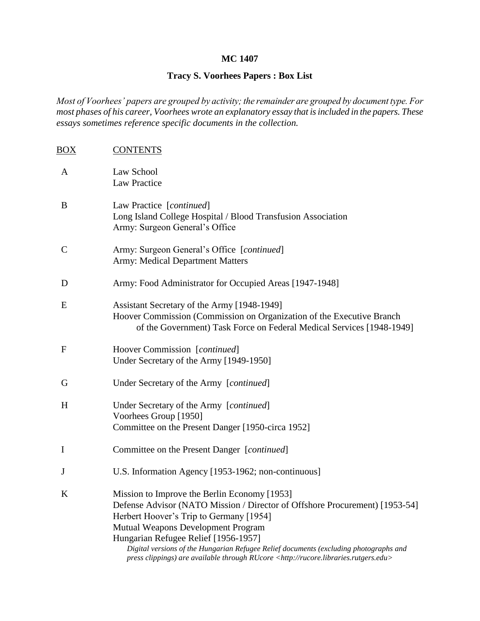## **MC 1407**

# **Tracy S. Voorhees Papers : Box List**

*Most of Voorhees' papers are grouped by activity; the remainder are grouped by document type. For most phases of his career, Voorhees wrote an explanatory essay that is included in the papers. These essays sometimes reference specific documents in the collection.*

| BOX          | <b>CONTENTS</b>                                                                                                                                                                                                                                                                                                                                                                                                                                |
|--------------|------------------------------------------------------------------------------------------------------------------------------------------------------------------------------------------------------------------------------------------------------------------------------------------------------------------------------------------------------------------------------------------------------------------------------------------------|
| A            | Law School<br><b>Law Practice</b>                                                                                                                                                                                                                                                                                                                                                                                                              |
| B            | Law Practice [continued]<br>Long Island College Hospital / Blood Transfusion Association<br>Army: Surgeon General's Office                                                                                                                                                                                                                                                                                                                     |
| $\mathsf{C}$ | Army: Surgeon General's Office [continued]<br><b>Army: Medical Department Matters</b>                                                                                                                                                                                                                                                                                                                                                          |
| D            | Army: Food Administrator for Occupied Areas [1947-1948]                                                                                                                                                                                                                                                                                                                                                                                        |
| E            | Assistant Secretary of the Army [1948-1949]<br>Hoover Commission (Commission on Organization of the Executive Branch<br>of the Government) Task Force on Federal Medical Services [1948-1949]                                                                                                                                                                                                                                                  |
| $\mathbf{F}$ | Hoover Commission [continued]<br>Under Secretary of the Army [1949-1950]                                                                                                                                                                                                                                                                                                                                                                       |
| G            | Under Secretary of the Army [continued]                                                                                                                                                                                                                                                                                                                                                                                                        |
| H            | Under Secretary of the Army [continued]<br>Voorhees Group [1950]<br>Committee on the Present Danger [1950-circa 1952]                                                                                                                                                                                                                                                                                                                          |
| $\bf{I}$     | Committee on the Present Danger [continued]                                                                                                                                                                                                                                                                                                                                                                                                    |
| J            | U.S. Information Agency [1953-1962; non-continuous]                                                                                                                                                                                                                                                                                                                                                                                            |
| K            | Mission to Improve the Berlin Economy [1953]<br>Defense Advisor (NATO Mission / Director of Offshore Procurement) [1953-54]<br>Herbert Hoover's Trip to Germany [1954]<br>Mutual Weapons Development Program<br>Hungarian Refugee Relief [1956-1957]<br>Digital versions of the Hungarian Refugee Relief documents (excluding photographs and<br>press clippings) are available through RUcore <http: rucore.libraries.rutgers.edu=""></http:> |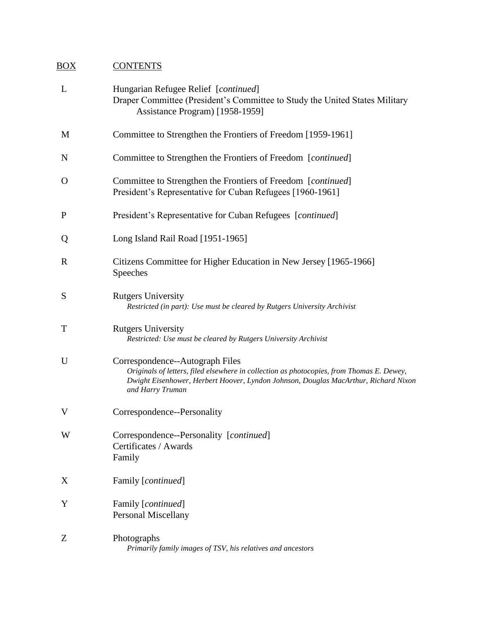# BOX CONTENTS

| L           | Hungarian Refugee Relief [continued]<br>Draper Committee (President's Committee to Study the United States Military<br>Assistance Program) [1958-1959]                                                                                  |
|-------------|-----------------------------------------------------------------------------------------------------------------------------------------------------------------------------------------------------------------------------------------|
| M           | Committee to Strengthen the Frontiers of Freedom [1959-1961]                                                                                                                                                                            |
| N           | Committee to Strengthen the Frontiers of Freedom [continued]                                                                                                                                                                            |
| O           | Committee to Strengthen the Frontiers of Freedom [ <i>continued</i> ]<br>President's Representative for Cuban Refugees [1960-1961]                                                                                                      |
| P           | President's Representative for Cuban Refugees [continued]                                                                                                                                                                               |
| Q           | Long Island Rail Road [1951-1965]                                                                                                                                                                                                       |
| $\mathbf R$ | Citizens Committee for Higher Education in New Jersey [1965-1966]<br>Speeches                                                                                                                                                           |
| S           | <b>Rutgers University</b><br>Restricted (in part): Use must be cleared by Rutgers University Archivist                                                                                                                                  |
| T           | <b>Rutgers University</b><br>Restricted: Use must be cleared by Rutgers University Archivist                                                                                                                                            |
| U           | Correspondence--Autograph Files<br>Originals of letters, filed elsewhere in collection as photocopies, from Thomas E. Dewey,<br>Dwight Eisenhower, Herbert Hoover, Lyndon Johnson, Douglas MacArthur, Richard Nixon<br>and Harry Truman |
| V           | Correspondence--Personality                                                                                                                                                                                                             |
| W           | Correspondence--Personality [continued]<br>Certificates / Awards<br>Family                                                                                                                                                              |
| X           | Family [continued]                                                                                                                                                                                                                      |
| Y           | Family [continued]<br><b>Personal Miscellany</b>                                                                                                                                                                                        |
| Z           | Photographs<br>Primarily family images of TSV, his relatives and ancestors                                                                                                                                                              |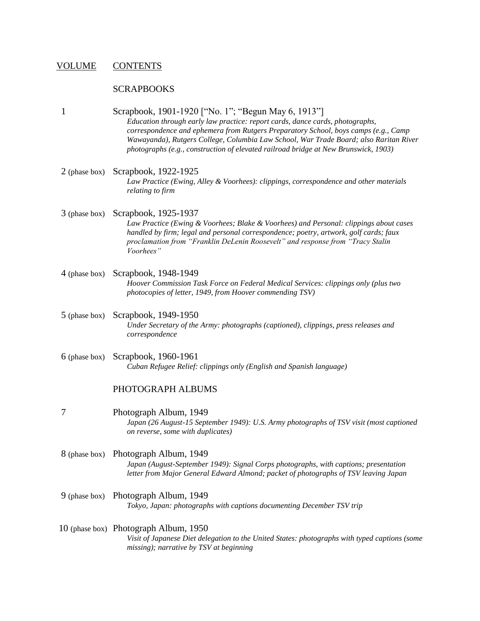### VOLUME CONTENTS

#### **SCRAPBOOKS**

1 Scrapbook, 1901-1920 ["No. 1"; "Begun May 6, 1913"]

*Education through early law practice: report cards, dance cards, photographs, correspondence and ephemera from Rutgers Preparatory School, boys camps (e.g., Camp Wawayanda), Rutgers College, Columbia Law School, War Trade Board; also Raritan River photographs (e.g., construction of elevated railroad bridge at New Brunswick, 1903)*

- 2 (phase box) Scrapbook, 1922-1925 *Law Practice (Ewing, Alley & Voorhees): clippings, correspondence and other materials relating to firm*
- 3 (phase box) Scrapbook, 1925-1937 *Law Practice (Ewing & Voorhees; Blake & Voorhees) and Personal: clippings about cases handled by firm; legal and personal correspondence; poetry, artwork, golf cards; faux proclamation from "Franklin DeLenin Roosevelt" and response from "Tracy Stalin Voorhees"*
- 4 (phase box) Scrapbook, 1948-1949 *Hoover Commission Task Force on Federal Medical Services: clippings only (plus two photocopies of letter, 1949, from Hoover commending TSV)*
- 5 (phase box) Scrapbook, 1949-1950 *Under Secretary of the Army: photographs (captioned), clippings, press releases and correspondence*
- 6 (phase box) Scrapbook, 1960-1961 *Cuban Refugee Relief: clippings only (English and Spanish language)*

#### PHOTOGRAPH ALBUMS

- 7 Photograph Album, 1949 *Japan (26 August-15 September 1949): U.S. Army photographs of TSV visit (most captioned on reverse, some with duplicates)*
- 8 (phase box) Photograph Album, 1949 *Japan (August-September 1949): Signal Corps photographs, with captions; presentation letter from Major General Edward Almond; packet of photographs of TSV leaving Japan*
- 9 (phase box) Photograph Album, 1949 *Tokyo, Japan: photographs with captions documenting December TSV trip*
- 10 (phase box) Photograph Album, 1950 *Visit of Japanese Diet delegation to the United States: photographs with typed captions (some missing); narrative by TSV at beginning*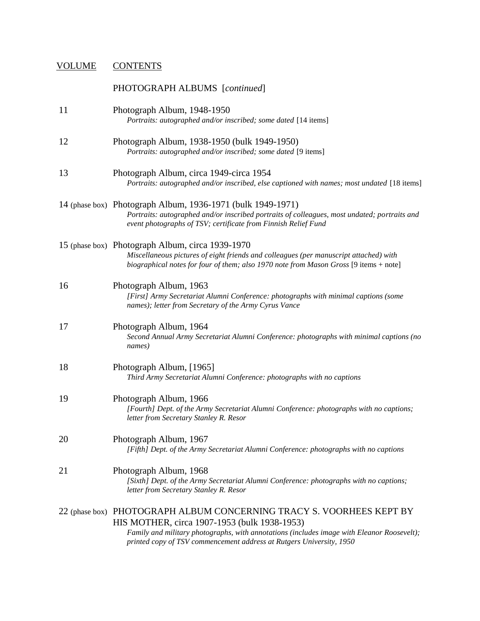# VOLUME CONTENTS

|    | PHOTOGRAPH ALBUMS [continued]                                                                                                                                                                                                                                                              |
|----|--------------------------------------------------------------------------------------------------------------------------------------------------------------------------------------------------------------------------------------------------------------------------------------------|
| 11 | Photograph Album, 1948-1950<br>Portraits: autographed and/or inscribed; some dated [14 items]                                                                                                                                                                                              |
| 12 | Photograph Album, 1938-1950 (bulk 1949-1950)<br>Portraits: autographed and/or inscribed; some dated [9 items]                                                                                                                                                                              |
| 13 | Photograph Album, circa 1949-circa 1954<br>Portraits: autographed and/or inscribed, else captioned with names; most undated [18 items]                                                                                                                                                     |
|    | 14 (phase box) Photograph Album, 1936-1971 (bulk 1949-1971)<br>Portraits: autographed and/or inscribed portraits of colleagues, most undated; portraits and<br>event photographs of TSV; certificate from Finnish Relief Fund                                                              |
|    | 15 (phase box) Photograph Album, circa 1939-1970<br>Miscellaneous pictures of eight friends and colleagues (per manuscript attached) with<br>biographical notes for four of them; also 1970 note from Mason Gross [9 items + note]                                                         |
| 16 | Photograph Album, 1963<br>[First] Army Secretariat Alumni Conference: photographs with minimal captions (some<br>names); letter from Secretary of the Army Cyrus Vance                                                                                                                     |
| 17 | Photograph Album, 1964<br>Second Annual Army Secretariat Alumni Conference: photographs with minimal captions (no<br>names)                                                                                                                                                                |
| 18 | Photograph Album, [1965]<br>Third Army Secretariat Alumni Conference: photographs with no captions                                                                                                                                                                                         |
| 19 | Photograph Album, 1966<br>[Fourth] Dept. of the Army Secretariat Alumni Conference: photographs with no captions;<br>letter from Secretary Stanley R. Resor                                                                                                                                |
| 20 | Photograph Album, 1967<br>[Fifth] Dept. of the Army Secretariat Alumni Conference: photographs with no captions                                                                                                                                                                            |
| 21 | Photograph Album, 1968<br>[Sixth] Dept. of the Army Secretariat Alumni Conference: photographs with no captions;<br>letter from Secretary Stanley R. Resor                                                                                                                                 |
|    | 22 (phase box) PHOTOGRAPH ALBUM CONCERNING TRACY S. VOORHEES KEPT BY<br>HIS MOTHER, circa 1907-1953 (bulk 1938-1953)<br>Family and military photographs, with annotations (includes image with Eleanor Roosevelt);<br>printed copy of TSV commencement address at Rutgers University, 1950 |